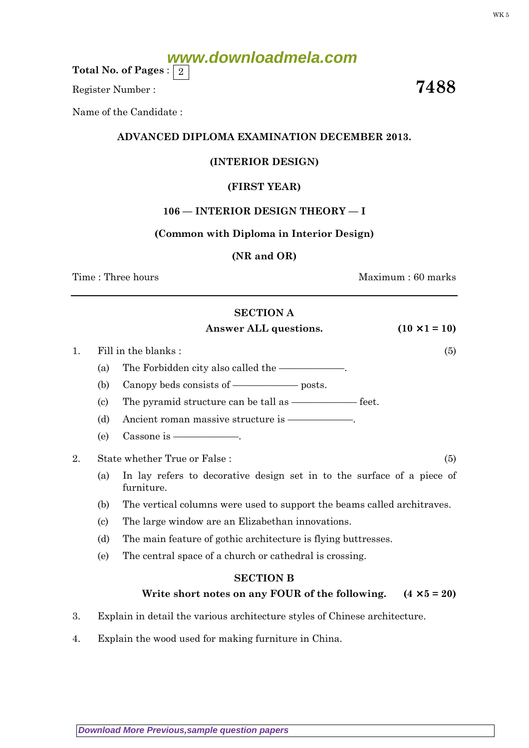# **www.downloadmela.com**

Total No. of Pages :  $\mid 2 \rangle$ 

Register Number : 7488

Name of the Candidate :

#### ADVANCED DIPLOMA EXAMINATION DECEMBER 2013.

#### (INTERIOR DESIGN)

#### (FIRST YEAR)

#### 106 — INTERIOR DESIGN THEORY — I

#### (Common with Diploma in Interior Design)

#### (NR and OR)

Time : Three hours and the set of the set of the Maximum : 60 marks

#### SECTION A

#### Answer ALL questions.  $(10 \times 1 = 10)$

- 1. Fill in the blanks : (5)
	- (a) The Forbidden city also called the  $\equiv$
	- (b) Canopy beds consists of  $\equiv$ —––––––––––– posts.
	- (c) The pyramid structure can be tall as  $\frac{1}{\sqrt{2\pi}}$  feet.
	- (d) Ancient roman massive structure is  $-$
	- (e) Cassone is  $\overline{\phantom{a}}$
- 2. State whether True or False : (5)
	- (a) In lay refers to decorative design set in to the surface of a piece of furniture.
	- (b) The vertical columns were used to support the beams called architraves.
	- (c) The large window are an Elizabethan innovations.
	- (d) The main feature of gothic architecture is flying buttresses.
	- (e) The central space of a church or cathedral is crossing.

## SECTION B Write short notes on any FOUR of the following.  $(4 \times 5 = 20)$

- 3. Explain in detail the various architecture styles of Chinese architecture.
- 4. Explain the wood used for making furniture in China.